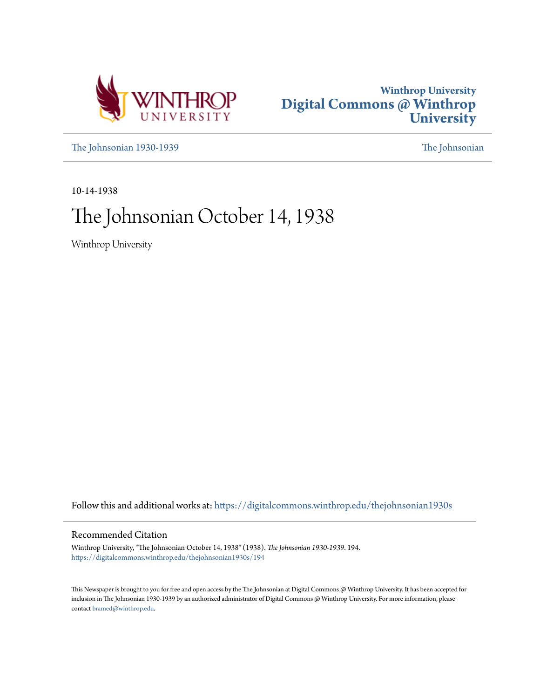



[The Johnsonian 1930-1939](https://digitalcommons.winthrop.edu/thejohnsonian1930s?utm_source=digitalcommons.winthrop.edu%2Fthejohnsonian1930s%2F194&utm_medium=PDF&utm_campaign=PDFCoverPages) [The Johnsonian](https://digitalcommons.winthrop.edu/thejohnsonian_newspaper?utm_source=digitalcommons.winthrop.edu%2Fthejohnsonian1930s%2F194&utm_medium=PDF&utm_campaign=PDFCoverPages)

10-14-1938

# The Johnsonian October 14, 1938

Winthrop University

Follow this and additional works at: [https://digitalcommons.winthrop.edu/thejohnsonian1930s](https://digitalcommons.winthrop.edu/thejohnsonian1930s?utm_source=digitalcommons.winthrop.edu%2Fthejohnsonian1930s%2F194&utm_medium=PDF&utm_campaign=PDFCoverPages)

# Recommended Citation

Winthrop University, "The Johnsonian October 14, 1938" (1938). *The Johnsonian 1930-1939*. 194. [https://digitalcommons.winthrop.edu/thejohnsonian1930s/194](https://digitalcommons.winthrop.edu/thejohnsonian1930s/194?utm_source=digitalcommons.winthrop.edu%2Fthejohnsonian1930s%2F194&utm_medium=PDF&utm_campaign=PDFCoverPages)

This Newspaper is brought to you for free and open access by the The Johnsonian at Digital Commons @ Winthrop University. It has been accepted for inclusion in The Johnsonian 1930-1939 by an authorized administrator of Digital Commons @ Winthrop University. For more information, please contact [bramed@winthrop.edu](mailto:bramed@winthrop.edu).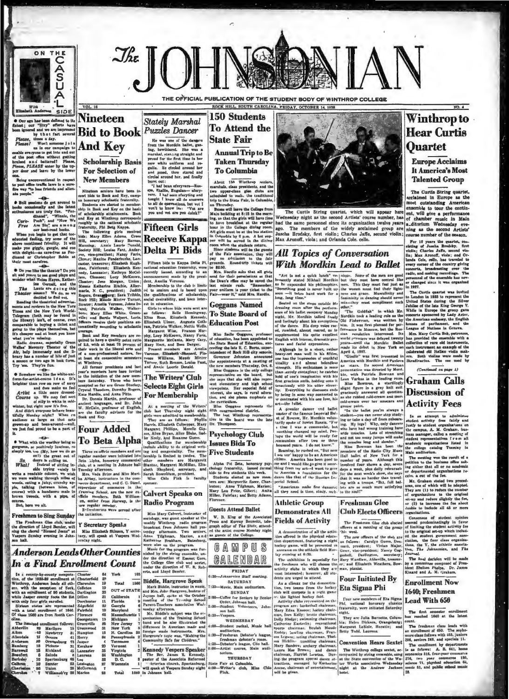

**VOL. 16** 

**And Key** 

**Scholarship Basis** 

For Selection of

**New Members** 

ego har been deflated to its<br>; our "litry" efforts have<br>nored and we are impressed

ft, our anti-<br>strandard we are impressed<br> $log\sigma$ , times a day.<br> $log\sigma$ , times a day.<br> $log\sigma$  work someone joint and our campaign to<br>le everyone to get into and out in<br>the post office without getting<br> $log\sigma$  and batter by the up-<br>

ing unconventional in re<br>st office traffic laws is a<br>ray "to lose friends and s<br>copia."

conding a<br>reservational in respect to the state of the state in the state of the<br>state and simulation in the state of the state of the state of the<br>state and simulation of the state of the state of the state of the<br>state

# **Anderson Leads Other Counties** In a Final Enrollment Count

IN G FURCH ENTERTAINMENT (1) a control of the set of the set of the set of the set of the set of the set of the set of the set of the set of the set of the set of the set of the set of the set of the set of the set of the





THE OFFICIAL PUBLICATION OF THE STUDENT BODY OF WINTHROP COLLEGE ROCK HILL SOUTH CAROLINA. PRIDAY, OCTOBER 14, 1938

**150 Students** Stately Marshal **To Attend the Bid to Book** Puzzles Dancer FUGGUES LAUTICET<br>
He was ess of the dangers<br>
from the Mordkin hallet, gran-<br>
from the Mordkin hallet, gran-<br>
lange bewiddered. Blow was<br>
produced to the first time in her<br>
near white uniform and reputal<br>
and the critical a **State Fair** 

**Annual Trip to Be Taken Thursday To Columbia** 

To Columbia<br>
Most 158 Wietherp scales.<br>
About 158 Wietherp scales.<br>
nurshall, claus presidents, and the<br>
nurshall do match the traditional presidents of the State Pairs<br>
of the State Pairs of the State Pairs<br>
of the State **Receive Kappa Delta Pi Bids** Fifteen bids to Kappa Delta Pi.

Fifteen bids to Kappa Delta Pi,  $\frac{|\text{P3}|}{|\text{200}}$  no add-trip tickets will rate<br>internal education fractering, were be \$2.00. The recording to an internal research recording to an internal rate of the pressime of the pr Miss Sadie Goggana, professor of clusterio, has been appointed to correlate the State Bata Rot. C. Burts, super-<br>increase of Robinson and Tale C. Burts, super-<br>increase of Rock Hill city sensors. (Gorente Tale and Tale an

# **Psychology Club Issues Bids To Five Students**

Alpha Psi Zeta, honorary psy-<br>chology fraternity, Laused formal<br>bids to five students this week.<br>Students elected as new mem-<br>Students elected as new mem-<br>leston; Amer Dighman, Marion:<br>Mary Lou Price, Gilbert; Anita<br>Miller

## **Guests Attend Rallet**

W. B. King of the Ass.<br>Press and Murray Bennoits  $rel$   $T_{\text{dd}}$ 

GAMPU හි GALENDAR **FRIDAY IN Staff SATURDAY** vie, Main au<br>SUNDAY OUT of STATE and stress.<br>
Therefore and Japanese the Transition Wed-<br>
2:30—Student .<br>
I Georgia el Parent-Teschers association Wed-<br>
1:30—Student .<br>
1: Maryland 2: weekly afternoon.<br>
1: Maryland 2: weekly afternoon.<br>
1: M

The Curtis String quartet, which will appear here enemble to tour the continuous-<br>Wednesday night as the second Artists' course number, has jof chamber music in Main<br>had the same personnel since its organization twelve yea

**All Topics of Conversation** With Mordkin Lead to Ballet

FIRE APPEAR in a collection of the distance of the collection of the same of the same in the same of the same of the same of the same of the same of the same of the same of the same of the same of the same of the same of

**Freshman Glee** 

**Club Elects Officers** 

**Athletic Group Demonstrates All** 

Freehman Glee club<br>officers at a messing of the<br>his week.<br>The new **Fields of Activity** entration of all the<br>red in the physical

A demonstration of all the science in section. The new office and is the districtivity is the distribution of the phase of the column of the content of the studient permetering a night as delows. Carolyn Guess, Den- Ecali

will be given.

# **Winthrop to Hear Curtis Quartet**

**Europe Acclaims** It America's Most **Talented Group** 

The Curtis String quartet,<br>acclaimed in Europe as the<br>most outstanding American<br>ensemble to tour the contin-

course number of the season.<br>
For 12 years the quarter, con-<br>
sixing of Jancha Brodaly, first<br>
violin; Charles Brodaly, first<br>
violin; Charles Jancha Brodaly, season violin;<br>
lin; Max Aronof, viole; and Or-<br>
every corner o

sure control of the mediator of the same state of the mediator product of the mediator of the product of the same of the state of the state of the state of the state of the state of the state of the state of the state of

organizations.<br>Consensus of student opinations are allowed predominalingly in f.<br>of limiting the student activity<br>to the original act-up which into the original original student grows<br>result of the functions of the control

Journal.<br>The Anal decision will be made<br>by a committee composed of Pres-<br>ident Shelton Phelps, Dr. James<br>Kinard and A. M. Graham.

Nia: Helen Dickson, Osten- 1980 reaches and the latest Margaret LeNoir, Horatio; and mean-helen with the Betty Tedd, Laurent and the month means beads with the phonon class of the sphere class follows with sits, juniors (

Call the set of the set of the set of the set of the set of the set of the set of the set of the set of the set of the set of the set of the set of the set of the set of the set of the set of the set of the set of the set  $\,$  Mirs Mary Calerer, Instructor of weekly Windows and Sociology, was guest speaker at the broadcast from Johnson hall generation of the broadcast from a matrix  $\,$  Anne Tighman. Narion, and Social Society of Replaceme York 165 Total 1560 ISiddle, Hargrove Speak<br>
OUT of STATE and Mrs. John Huide, instruction in music,<br>
California and Mrs. John Hargrove, heatens of California<br>
California a meeting of the Tri-ming School Georgia<br>
Phorida a meeting **Biddle**, Hargrove Speak



# Turner, Ruth Benson, Louise Fan<br>and Annie Lourie Donald. The Writers' Club

**Fifteen Girls**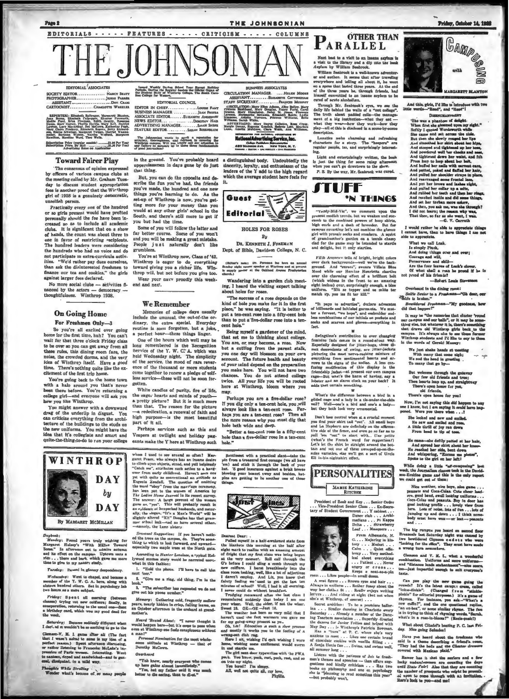THE JOHNSONIAN



 $CATO$ 

16: Elisabeth Bailcager, Maryarett Bhazi<br>
Elisabeth Culperper, Elisabeth Culperper, Elisabeth Culperper, Edith Geekry, Rosan<br>
Chaner, Physiis Harris, Mary Kell, Harry<br>
MacAriskur, Del MeCowa, Kellyr Richard, MacAriskur, De

### **Toward Fairer Play**

The consensus of opinion expressed<br>by officers of various campus clubs at<br>the meeting called by Mr. Graham Tues-<br>the meeting called by Mr. Graham Tues-<br>day to discuss student appropriation<br>fees is another proof that the Wi girl of 1938 is a genuinely democratic, eifish person.

Practically every one of the hundred<br>or so girls present would have profited<br>personally should the fee have been increased so as to include all academic<br>clubs. It is significant that on a show of hands, the count was about three to or names, the count was about three to<br>the in favor of restricting recipients.<br>The hundred leaders were considering<br>the hundreds who had no voice and do not participate in extra-curricula activ 'We'd rather pay dues ourselves, *ities.* than ask the disinterested freshmen to<br>finance our tea and cookies," the girls against larger fees declared.

No more social clubs --- activities fi-<br>nanced by the actors -- democracy ---<br>thoughtfulness. Winthrop 1938.

# **On Going Home**

For Freshmen Only-3

So you're all excited over going<br>ome for the first time, huh? You can't<br>ait for that three o'clock Friday class to be over so you can get away from all<br>these rules, this dining room fare, the<br>noise, the crowded dorms, and the very<br>idea of Winthrop itself. Have a good time. There's nothing quite like the ex-<br>citement of the first trip home.

Ever group back to the home town<br>with a halo around you that's never<br>been there before. You're returning a<br>been there before. You're returning a<br>college girl-and everyone will ask you<br>how you like Winthrop.

You might answer with a downward drag of the underlip in disgust. You can criticize everything from the architecture of the buildings to the studs on the new uniforms. You might have the idea that it's collegiate and amart and

WINTHROP

By MARGARET MCMILLAN

Duplead: <br>
Menday: Found yours truly wishing for Margaret Halsey's "With Mälte Toward Bonna." In afsersom out to admire astument and it offers on the campus. Uptown sans rido..., there and back, which gave me more

Weducaday: Went to chapal, and became<br>nember of the Y. W. C. A. here, along with<br>ixteen hundred others. Sat in psychology is<br>we hours as a more subject.

Friday: Spent all merning (between<br>clanme) trying out new colffours; finally, in<br>sussperation, returning to the usual one-Sant<br>a birthday card, which was my good deed for

Saturday: Became suddenly different when<br>I decided it wouldn't be so exciting to go to the

a General window is a series and the fact of the fact of the series of the late of the series of the particular of the period of the period of the period of the series of the series of the series of the series of the serie

tengikis While Strolling<br>Wonder what's became of, or namy peop

.<br>Pa stady

ne to give to my nate

Tuesday: Passed in gloomy desp

 $\mathcal{D}$ 

**DAY** 

 $by$ 

**DAY** 

lowed Westly During School Year Europt Holiday<br>Powols, During the Engular Seeden the Official Organ of<br>the Stadent Body of Nustries, Campo, The Bosth Caro<br>Rad College for Westers,

**EDITORIAL COUNCIL** 

newsmoon THE RESERVED BY THE RESERVED BY A LADY BALLAND WAS SHIP TO THE RESERVED BY A LABOURD BANK AND THE RESERVED ON A LABOURD WAS SHARED ON A LABOURD WAS A LABOURD WAS A LABOURD WAS A LABOURD WAS A LABOURD WAS A LABOURD WAS A LA

The Johnsonian wants to merit a regulation for Windows, thoroughean and futures the covering the Windows and future to measure with the automatical control of good jeurnalisms of the constant up in these fundamentals of go

in the ground. You've probably heard smen in days gone by do just that thing

But, you can do the opposite and describe the fun you've had, the friends you've made, the hundred and one new things you're learning to do. As the set-up of Winthrop is now, you're get-<br>ting more for your money than you would at any other girls' school in the South, and there's still more to get if you but had the time.

Some of you will follow the latter and far better course. Some of you won't<br>and you will be making a great mistake. People just naturally don't like grumbl ers.

You're at Winthrop now, Class of '42. Winthrop is eager to do everything<br>toward giving you a richer life. What<br>throp will, but not before you give too. Wear your navv proudly this week-

# We Remember

Memories of college days usually<br>ude the unusual, the out-of-the orineh dinary, the extra special. Everyday routine is soon forgotten, but a joke, a perfect hour--these things linger.

One of the hours which well may be<br>long remembered is the Recognition<br>Service of the Y. W. C. A. which was held Wednesday night. The simplicity<br>of the service, the mood of rare reverence of the thousand or more students<br>come together to renew a pledge of self-<br>less service—these will not be soon forgotten

White candles of purity, fire of life, the enger hearts and minds of youth-<br>a pretty picture? But it is much more The reason for the picture than that. -a rededication, a renewal of faith and<br>high purpose-is the most beautiful high purpose-<br>part of it all.

Perhaps services such as this and Vespers at twilight and holiday pageants make the Y here at Winthrop such

Nitional Advertising Service, Inc., Giller Addition Service, Inc., 420 Mars Addition Services, Inc., 420 Mars And Additional Ave., V. V.

which the average student here feels for  $\overline{u}$ 

**HOLES FOR ROSES** 

 $By$ 

DE. KENNETH J. FOREMAN

Dept. of Bible, Davidson College, N. C.

to mote: Dr. Furremen has been on nessel<br>light vurper apsalier at Winthrop and at present<br>pantor at the Onklond Arouse Prosbyterian

Wandering into a garden club meet-

"The success of a rose depends on the

ing, I heard the visiting expert talking<br>about holes for roses.

The success of a rose depends on the<br>kind of hole you make for it in the first<br>place," he was saying. "It is better to<br>put a ten-cent rose into a fifty-cent hole<br>than to put a five-dollar rose into a ten-

Being myself a gardener of the mind, that set me to thinking about college.<br>You are, or may become, a rose. Now but a cutting from the parent stalk,

but a cutting from the parent stall,<br>you one day will blossom on your own<br>account. The future health and beauty<br>of your mind depend on the preparation<br>you make here. You will not have two<br>chances. You do not attend college

Parhaps you are a five-dollar rose? Parhaps you are a five-solar rose:<br>If you dig only a ten-cent hole, you will<br>always look like a ten-cent rose. Perhaps you are a ten-cent rose.<br>the more reason wby you must dig that<br>hole both wide and deep.

"Better a ten-cent rose in a fifty-cent<br>hole than a five-dollar rose in a ten-cent

Guest  $E =$ 

Editorial $\bar{\Xi}$ 

adlar's<br>Sonday nigh<br>Is suppy pa<br>church.)

cent hole.

as<br>Light and entertainingly written, the boa<br>Light the thing for some rainy afterneous<br>ten you can't go downtown to the show.<br>P. S. By the way, Mr. Scabrook was cured.

 $\bullet$ 

a distinguished body. Undoubtedly the sincerity, loyalty, and enthusiasm of the leaders of the Y add to the high regard

**STUFF** 'N THINGS

cured actor alcohedism.<br>Trough Mr. Seabneak's eyes, we see the daily life behind the walls of a "eat college".<br>The truth about padded cells—the numerally ment of a big institution—what they sat—<br>ment of a big institution—

npassa.<br>matics make charming and refreshing<br>meters for a story. The "keepers" are<br>lar people, too, and surprisingly interest-

r—all o:<br>:ription

 $\overline{\mathbf{1}}$ 

**OTHER THAN** 

"Veddy-Mid-Vie", we comment upon the present modish trends, but we weaken and successible base cannot be the committed by the scheme that is the committed by the form of the scheme cannot a super surface success and strea

Eifth Avenesse tells of bright, bright colors Fifth Avenece tells of bright, bright cobies<br>over dark backgroonds—reell we've the back-<br>proud. And "energer", swears Villain Bloop<br>Mood while our Hervier Hermietia chericles (which wides over the channing effect of a bri

matza up, you as nt term EMI-<br>
"It pays to advertise", declare advecate<br>
of billboards and initials<br>of garments. We must term a frever a ferroar, "we hope", and embroider end<br>
less combinations of our initials on pockets a  $\mathbf{z}$ 

Swingtime's contribution to ever changing feminine facis conces in a round-about way.<br>Especially designed for jitter-bugs, these discoveries received designed for jitter-jackets pricing the most nerve-reaching multiplicat that certain son

From the stress of the difference between a bird in a glided cage and a lady by a tis-difference between a bird and cone<br>by the difference a high and cone of the difference and the control wise of<br>the base of the street o



President of Book and Key . . . Se<br>. . Vice-President Senior Clans . . .<br>.ry of Student Government . . . Y

nd Key ... Senior Order<br>
nior Claas ... Ex-Secre-<br>
mment ... Y cabinet ...<br>
Dance eluh ... Archi-<br>
mediana ... Pi Kappa<br>
Delta ... Masquors ...<br>
Leaf ... Masquors ... From Albemarle, N. 

ongry or cross.<br>Keeps a neat-an-a-p<br>-in small dones.  $\begin{minipage}[t]{.4cm} \begin{tabular}{l|cccc} \hline \multicolumn{3}{c}{\textbf{From a neutral-}a-ph} & \multicolumn{3}{c}{\textbf{From a neutral-}a-ph} \\ \hline \multicolumn{3}{c}{\textbf{A} that figure . . . From erg and hat . . .} \end{tabular} \end{minipage} \begin{minipage}[t]{.4cm} \begin{tabular}{l|cccc} \multicolumn{3}{c}{\textbf{A} } \textbf{B} \textbf{a} \textbf{b} \textbf{a} & \textbf{A} \textbf{b} \textbf{a} \textbf{b} \textbf{b} \textbf{a} \\ \hline \mult$ 

et everything

Gamp  $endth$ 員 த MARGARETY BLAMTON

And this, girls, I'd like to introduction of the state of the state of the state of the state of the state of the state of the state of the state of the state of the state of the state of the state of the state of the stat  $=$  with two Dues

I would rather be able to appreciate thing<br>cannot have, than to have things I am no able to appreciate.

ators to approximate Leck.<br>
Is simply Pluck,<br>
Lad doing things over and over;<br>
And doing things over and over;<br>
Courage and will,<br>
Persenvence not assess of Lock's clover.<br>
Are the four leaves of Lock's clover.<br>
Are the fo

-Robert Louis Stev

Overheard in the dining room: *Sallie Seulor* to a Freeks<br>ble is broken." es-"Ob dear, our

**Towildered Freshman-"My goods**<br>| that happen?"

or can image in the mannerise that cluster 'round<br>our campus and our halls", or it may be something else, but whatever it is, there's something<br>thing else, but whatever it is there is something that draws old Winthrop girl

We just shake hands at me With many that come night we ned the head in greating To many that go by-

But welcome through the galaws<br>Our few old friends and true;<br>Then hearts leap up, and straight<br>There's open house for you,<br>There's open house for you!

Now, I'm not anying this did happen to any<br>none I know, but I can saying the self have been<br>need. Were you there when  $\cdot$ , if I can saying it can be self<br>solved and saw and smilled. He are and smilled and rosa.<br>He is a w

He came—she deftly patied at her hair,<br>And spread her ekirt about her knees.<br>He reached her side, bent down<br>And whispering, "Excase we please",<br>Spoke to the girl on her left!

While doing a little "off-campusing" last<br>week, the Journalism classes took in the David-son-Erzkine game and this is the only report<br>we could get out of them:

New weaker, nice hoys, nice game had-<br>peanets and Coca-Colast Cute cheer had-<br>eva, good hand, awall looking uniforms ...<br>Coca-Colas and peanute. Boy in door has<br>good looking predic ..., hereby twee from<br>have model in the s

The big rumpus you heard on second floor Breascale last Saturday night was caused by two bewildered Clemeon cad et a who were "oldelay" for the office". They must have made a wrong turn sowarelers.

Clemaon and V. M. I., what a wenderful<br>combination. Uniforms and more uniforms-<br>and "distance lends enchantment"-mios seere,<br> $100 - j$ ust impartial enough to suit everyone's

that.<br>
Can you play the new game going the counter of the batter changed room "sinkeled"<br>
in controller controller compared room "sinkeled"<br>
pinkel for editorial purposes.) It's a game of<br>
rhymes. For instance, you asker

What about Citadel's beating P. C. last Fri-<br>ay. Nice going Sabadosi day

Have you heard about the freehman who said in a theme describing a friend'a roses.<br>"They had the beds and the Chester drawers covered with Mexican plaid,"

From Fins it that the seriest and a few control lacky under<br>Lamos are consider a control of the dependent of the number of proposts who might be prevent<br>dependent of proposts who might be prevently at upon to come through

whom I used to see steamd so often? Mar-<br>grave Resect Posee, who always has an insane desire to the buyon objects, stand, and yell help<br>deals to "Calch me", attributes such action to a hang-<br>ever from early celliddence. I  $\mathbf{c}_n$ 

Sensonal Suggestion: If you haven't notice<br>the trees on the campus, do. They're nome-<br>is to which to look forward, and upward-<br>secially two maple trees at the North gate.

According to Hunter Loreloss, a typical Hol-<br>wood success atory would be narrated eserving in this fashion:<br>that in the fashion:<br>1. "Hold the phone. 17i have to call him<br>axt 'oor."

noon."<br>3. "The subscriber has requested we do not<br>give out his phone number."

Memory: Gathering cold, fragantly mell<br>pears, nearly hiddon in crisp, falling leaves,<br>an October afternoon in the orehard at gran

man!"<br>Personal Nomination for the most wh<br>some attitude at Winthrep — that<br>Dorothy McCown.

"Yoh know, nearly everyone who comes<br>up here gains almost immediately."<br>"Yee, but my father said it was much better to die esting, than to di-st."

Overheard

Neard 'Round About: "I never thought it<br>ould happen hare—but it's come to pana when<br>we at Winthrop one feels conspicuous without<br>man!"

Sentiment with a practical alant—take the pin from a treasured first corange (we all have 'en) and stick it shrough the back of your band. 'S good insurance against a brick breese blows between pinns are getting to be ano Mist your

**Dearent Dear:** .<br>Pulled myself in a half-e

the blankets this morning at the half eight mark to realize with an amazing a<br>of fright that my first class was being<br>at the very moment. Roll call through<br>at the very moment. Roll call through<br>G's before I could cl

extraction of the test of the state of the state of the state of the state of the state of the state of the state of the state of the state of the state of the state of the state of the state of the state of the state of t

fainty feeding we'vand to get the tast ten minutes of school? Well, I had it all mean fig. I near could do without is<br>variable to the latter could be the latter of the latter content<br>permutation of the latter content of t

On, hem, the works you to too re-<br>reasont dish reg.<br>Here I sit, wishing I'd quit wishing I were likely in the sit of disk<br>Here I sit, wishing I'd quit wishing i were must and startle ma.<br>I The give increase with the PWA Yo

hole."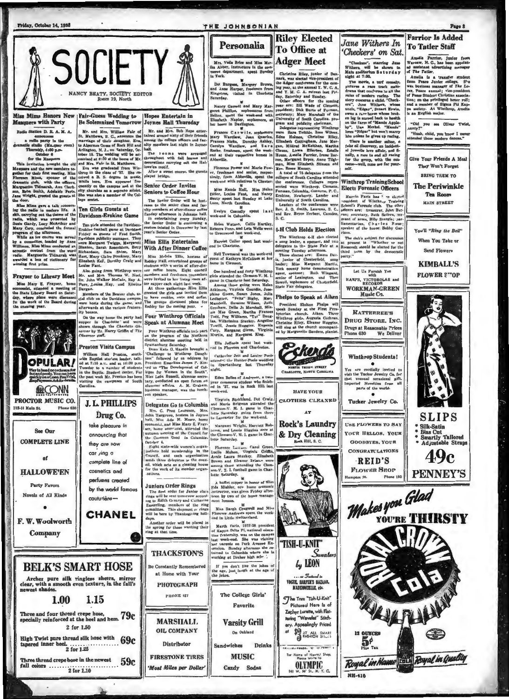

Miss Mims Honors New **Masquers with Party** 

engaing year

112-14 Main St

**OPULAR!** 

**MCONN** 

See Our

**COMPLETE LINE** 

of

**HALLOWE'EN** 

Party Favors

Novels of All Kinds

# THE JOHNSONIAN



ika Abbey, instructors in the commerce department. spent Sunday

in York.<br>Dot Burgess, Margery Brown,<br>and Anne Harper, freshmen from<br>Kingstree, visited in Charlotts

Nancy Garrett and Mary Mar<br>pret Phillips, sophomores from ret Phillips, sophonometrical<br>lton, spent the week-s<br>izabeth Napier, sopho

her home in Darlington.<br>
Frances Carwile, sophemore<br>
Mary Wardlaw, Jean Quarles,<br>
Mary Wardlaw, Jean-Bankley,<br>
Frances Nicks, Dorethy Ashley,<br>
Carolyn Wardlaw, and Sara<br>
Roche, freshmen, spent the week-<br>
abboutile.

ovy tech start a sessence of the Michael Companies that the college officers and factorized allows the college officers and factorized by members last that  $\Gamma$  is the room as were arranged decorations carrying out the lia **Florence Pow** and Marle Pow Torence Power and Marie Pow-<br>freshman and senior, respec-<br>dy, from Abbeville, spent the<br>k-end with relatives in Chester.

week-end with resultee in Cheese.<br>
Miss Mande Hall, Miss Helen<br>
Diller, Louiss Fant, and Nancy<br>
Beaty sport lant Sunday at Lake<br>
Lure, North Carolina.

The Senior Order will be host-<br>cases to the senior class and fac-<br>ulty members at after-dinner coffee<br>Eunday afterwoon in Johnson hall,<br>In entertaining every Sunday,<br>the Senior Order is continuing a 

reck-end mental<br>
Helen Watson, Callie Hat<br>
Rebecca Penn, and Leta Wells<br>
to Greenwood has week-end.

Harriet Culler speert last **With After Dinner Coffee** 

Nell Townsend was the week-end<br>uest of Kathryn McColium at her<br>ome in Clemson.

Name in Cleman.<br>
Mome in Cleman.<br>
One headerd and forty With<br>thep (risk attended the Cleman-V. M. I. game in Charlotte Latt Statutory.<br>
This and the prince prince were Kleha Attinuor. Virginia Goardin, Joseph Clemen-Cleman



# The state of the state of the main of the Alex Control of the Alex contents of the Alex contents of the state of the state of the state of the state of the state of the state of the state of the state of the state of the s

gram and publicity chairman

Converting of South Carolina, provides and publicity chairman.<br>
Delegates representing Windhey<br>
Delegates representing Windhey<br>
Stars Titblidge, Robert Windhey<br>
Elizabeth Cottingham, Jane Mor-<br>
Elizabeth Cottingham, Jane M

Harman, Columbia, Converte, Clemson,<br>
Ernkine, Newberry, Lander<br>
University of South Carolina<br>
University of South Carolina<br>
Leaders of the conference were<br>
Rev. J. O. Smith, Laurens, S. C.,<br>
and Rev. Bryce Herbert, Canude

### 1-H Club Holds Election The Winthrop 4-H club

The Winthep 4-H dub clercial The club's computed a<br> $\frac{1}{2}$  as sony leader, a spansor, and two at present is delegates to the State Pair at a located meeting Tuesday afternoon. This conservation is leader in the leader o

**Phelps to Speak at Aiken** 



**CADA** 

**HAVE YOUR** 

**CLOTHES CLEANED** 

AT.

**Rock's Laundry** 

& Dry Cleaning

"TISH-U-KNIT

**VOGUE, BARPER'S BAZAAR.** 

**MADEMOISTILE**, etc.

The Trum "Tish-U-Knit"

Pictured Here Is of

Zephyr Lurette, with Flatlering "Wavelet" Stitch-

ery. Appealingly Priced

For Name of Nearest Shap<br>Rease Write to

141

OLYMPIC C

**NH-416** 

AT ALL SMART

Sweater  $L_y$  LEON

**HUL S. C.** 

CHARLOTTE, N





night at 7:30, www.set and the technology please a technology please a read track condition in the reader reader and the reader reader and the reader reader in the reader of the reader of the main of "Edgar". Strant Evries



**49c** 





**FLOWER SHOP** 







**MARSIIALL** 

**OIL COMPANY** 

**Distributor** 

**FIRESTONE TIRES** 

'Most Miles per Dollar

NANCY BEATY, SOCIETY EDITOR Room 19, North

Fair-Guess Wedding to | Hopes Entertain in

**Be Solemnized Tomorrow Joynes Hall Thursday** 

After a sweet course, the gr

**Seniors to Coffee Hour** 

custom iniated in December by la

Miss Ellis Entertains

Jesse Wright, greeted the guesses and the concern<br>
lings sector. <br>
Hence starts, the down.<br>
Hence starts can also concern life, A Ten Girl's Guessts at dist, carrying out the thereory of the concern<br>
radio, which was pres

Louise Fant<br>Me Also guing from Winthrop wer<br>Mr. and Mrs. Thomas W. Noel<br>Dr. John Walker McCain, Ray A<br>Purr, Louisa Hay, aud Edwin<br>Purr, Louisa Hay, aud Edwin Frayser to Library Meet Miss Mary E. Frayser, home<br>economist, attended a meeting of<br>the State Library Board on Saturnomist, attended a meeting of State Library Board on Satur-

supper

Carolina

Mergann<br> **Herebers** of the Beaver club, so<br>
cial club on the Davidson campus<br>
were honts during the game, and<br>
afterwards at the various fratern<br>
ity houses.

On the way home the party had<br>upper in Charlotte and were<br>thown through the Charlotte Ob-<br>every by Mr. Harry Griffin of The<br>Cherreer staff.

**Preston Visits Campus** Textual Plantary and Plantary and Textual Plantary and the Saptist student and the Tile are and the Tile and the Baptist Student center. For the Baptist Student center. For the Baptist Student center. For visiting the camp

PROCTOR MUSIC CO. **J. L. PHILLIPS** Phone 6: Drug Co. take pleasure in announcing that

> they are now car /ing a complete line of cosmetics and perfumes created

by the world famous couturière-











mong those attending the Clen<br>m-V. X. I. footbull game in Char 

A buffet supper in homor of Miss<br>Eda Mishler, new home economic<br>instructor, was given Friday after-<br>neon by two of the home management houses.

.. Carol Green

Griffin,

ment houses.<br>Miss Sargh Cragwell and Miss<br>Florence Andrews spent the week-<br>end in Little Switzerland.

Murth Faris, 1937-38 pr of Kappa Delta Pi, national esues-<br>tion fraternity, was on the campus<br>tast week-end. She was visiting<br>her unrenta on Park Avenue Ex-<br>tension. Sunday afternoon abe co-<br>turned to Columbia where she la<br>working at Dreher high

If you don't like the jokes of<br>the age, just laugh at the age of<br>the jokes.

The College Girls' Favorite **Varsity Grill** 

On Oakland Drinks **Sandwiches** 

**MUSIC** Candy Sodas

Arm uness ne gives up racing.<br>There is another suitor, a<br>fake oil discovery, an incident-<br>al juvenile love affair, and fi-<br>naily, a race to end all racing<br>for the group, with the out-<br>come-well, come see for your-

## **Winthrop TrainingSchoo Elects Forensic Officers**

HARPS, VICTOROLAS and

**WORKMAN-GREEN** 

Music Co.

**RATTERREE'S** 

DRUG STORE, INC.

Drugs at Reasonable Prices

**Winthrop Students!** 

Vou are cordially invited to<br>visit the Tucker-Jewelry Co. for<br>that unusual occasional gift.<br>Imported Noveltien from all<br>parts of the world.

Marvin Faris has  $^+$  or elected School's Ferming Training Tailor School's Forenaic club. The other officers are: treasurer, John Bar-<br>ron, seerating the state of the state of the state rate of a state state is seen to a

**Farrior Is Added To Tatler Staff** 

Amelia Farrior, junior from<br>Warsaw, N. C., has been appointed assistant advertising manager<br>of The Tatler.

of The Tatler.<br>Amelia is a transfer student from Pasce Juster college. She was builded as manager of Tat Low out the student Cather of the Low of Peece Student Carrier in the privileged hence roll; and a member of Sigman

"Did you see Oliver Twist,

unty:<br>"Hush, chiid, you know I never<br>ttended those modern dances."

**BRING THEM TO The Periwinkle** 

**Tea Room MAIN STREET** 

Page 8

Give Your Friends A Meal They Won't Forget

You'll "Ring the Bell"

**KIMBALL'S FLOWER S"OP** 

When You Take or

**Send Flowers**